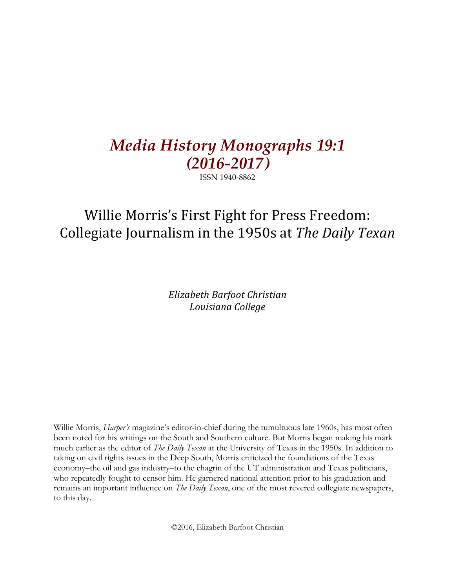# *Media History Monographs 19:1 (2016-2017)*

ISSN 1940-8862

## Willie Morris's First Fight for Press Freedom: Collegiate Journalism in the 1950s at *The Daily Texan*

*Elizabeth Barfoot Christian Louisiana College*

Willie Morris, *Harper's* magazine's editor-in-chief during the tumultuous late 1960s, has most often been noted for his writings on the South and Southern culture. But Morris began making his mark much earlier as the editor of *The Daily Texan* at the University of Texas in the 1950s. In addition to taking on civil rights issues in the Deep South, Morris criticized the foundations of the Texas economy–the oil and gas industry–to the chagrin of the UT administration and Texas politicians, who repeatedly fought to censor him. He garnered national attention prior to his graduation and remains an important influence on *The Daily Texan*, one of the most revered collegiate newspapers, to this day.

©2016, Elizabeth Barfoot Christian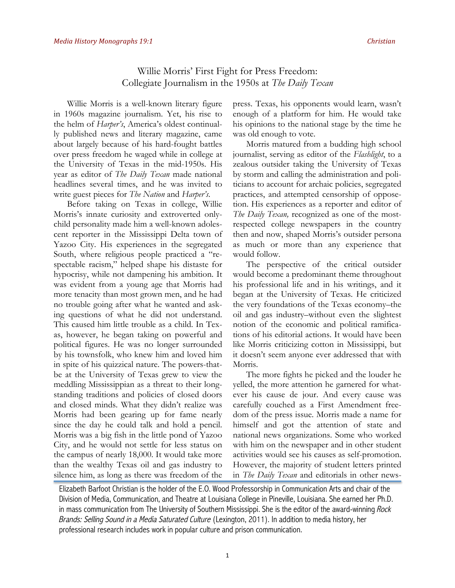## Willie Morris' First Fight for Press Freedom: Collegiate Journalism in the 1950s at *The Daily Texan*

Willie Morris is a well-known literary figure in 1960s magazine journalism. Yet, his rise to the helm of *Harper's*, America's oldest continually published news and literary magazine, came about largely because of his hard-fought battles over press freedom he waged while in college at the University of Texas in the mid-1950s. His year as editor of *The Daily Texan* made national headlines several times, and he was invited to write guest pieces for *The Nation* and *Harper's*.

Before taking on Texas in college, Willie Morris's innate curiosity and extroverted onlychild personality made him a well-known adolescent reporter in the Mississippi Delta town of Yazoo City. His experiences in the segregated South, where religious people practiced a "respectable racism," helped shape his distaste for hypocrisy, while not dampening his ambition. It was evident from a young age that Morris had more tenacity than most grown men, and he had no trouble going after what he wanted and asking questions of what he did not understand. This caused him little trouble as a child. In Texas, however, he began taking on powerful and political figures. He was no longer surrounded by his townsfolk, who knew him and loved him in spite of his quizzical nature. The powers-thatbe at the University of Texas grew to view the meddling Mississippian as a threat to their longstanding traditions and policies of closed doors and closed minds. What they didn't realize was Morris had been gearing up for fame nearly since the day he could talk and hold a pencil. Morris was a big fish in the little pond of Yazoo City, and he would not settle for less status on the campus of nearly 18,000. It would take more than the wealthy Texas oil and gas industry to silence him, as long as there was freedom of the press. Texas, his opponents would learn, wasn't enough of a platform for him. He would take his opinions to the national stage by the time he was old enough to vote.

Morris matured from a budding high school journalist, serving as editor of the *Flashlight*, to a zealous outsider taking the University of Texas by storm and calling the administration and politicians to account for archaic policies, segregated practices, and attempted censorship of opposetion. His experiences as a reporter and editor of *The Daily Texan,* recognized as one of the mostrespected college newspapers in the country then and now, shaped Morris's outsider persona as much or more than any experience that would follow.

The perspective of the critical outsider would become a predominant theme throughout his professional life and in his writings, and it began at the University of Texas. He criticized the very foundations of the Texas economy–the oil and gas industry–without even the slightest notion of the economic and political ramifications of his editorial actions. It would have been like Morris criticizing cotton in Mississippi, but it doesn't seem anyone ever addressed that with Morris.

The more fights he picked and the louder he yelled, the more attention he garnered for whatever his cause de jour. And every cause was carefully couched as a First Amendment freedom of the press issue. Morris made a name for himself and got the attention of state and national news organizations. Some who worked with him on the newspaper and in other student activities would see his causes as self-promotion. However, the majority of student letters printed in *The Daily Texan* and editorials in other news-

Elizabeth Barfoot Christian is the holder of the E.O. Wood Professorship in Communication Arts and chair of the Division of Media, Communication, and Theatre at Louisiana College in Pineville, Louisiana. She earned her Ph.D. in mass communication from The University of Southern Mississippi. She is the editor of the award-winning Rock Brands: Selling Sound in a Media Saturated Culture (Lexington, 2011). In addition to media history, her professional research includes work in popular culture and prison communication.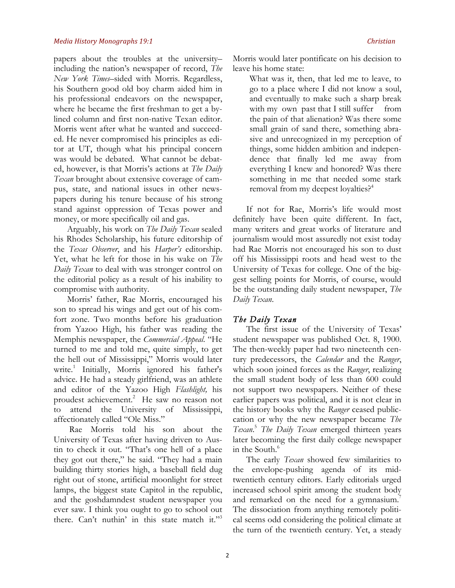papers about the troubles at the university– including the nation's newspaper of record, *The New York Times–*sided with Morris. Regardless, his Southern good old boy charm aided him in his professional endeavors on the newspaper, where he became the first freshman to get a bylined column and first non-native Texan editor. Morris went after what he wanted and succeeded. He never compromised his principles as editor at UT, though what his principal concern was would be debated. What cannot be debated, however, is that Morris's actions at *The Daily Texan* brought about extensive coverage of campus, state, and national issues in other newspapers during his tenure because of his strong stand against oppression of Texas power and money, or more specifically oil and gas.

Arguably, his work on *The Daily Texan* sealed his Rhodes Scholarship, his future editorship of the *Texas Observer*, and his *Harper's* editorship. Yet, what he left for those in his wake on *The Daily Texan* to deal with was stronger control on the editorial policy as a result of his inability to compromise with authority.

Morris' father, Rae Morris, encouraged his son to spread his wings and get out of his comfort zone. Two months before his graduation from Yazoo High, his father was reading the Memphis newspaper, the *Commercial Appeal*. "He turned to me and told me, quite simply, to get the hell out of Mississippi," Morris would later write.<sup>1</sup> Initially, Morris ignored his father's advice. He had a steady girlfriend, was an athlete and editor of the Yazoo High *Flashlight,* his proudest achievement.2 He saw no reason not to attend the University of Mississippi, affectionately called "Ole Miss."

Rae Morris told his son about the University of Texas after having driven to Austin to check it out. "That's one hell of a place they got out there," he said. "They had a main building thirty stories high, a baseball field dug right out of stone, artificial moonlight for street lamps, the biggest state Capitol in the republic, and the goshdamndest student newspaper you ever saw. I think you ought to go to school out there. Can't nuthin' in this state match it."<sup>3</sup>

Morris would later pontificate on his decision to leave his home state:

What was it, then, that led me to leave, to go to a place where I did not know a soul, and eventually to make such a sharp break with my own past that I still suffer from the pain of that alienation? Was there some small grain of sand there, something abrasive and unrecognized in my perception of things, some hidden ambition and independence that finally led me away from everything I knew and honored? Was there something in me that needed some stark removal from my deepest loyalties?4

If not for Rae, Morris's life would most definitely have been quite different. In fact, many writers and great works of literature and journalism would most assuredly not exist today had Rae Morris not encouraged his son to dust off his Mississippi roots and head west to the University of Texas for college. One of the biggest selling points for Morris, of course, would be the outstanding daily student newspaper, *The Daily Texan*.

## *The Daily Texan*

The first issue of the University of Texas' student newspaper was published Oct. 8, 1900. The then-weekly paper had two nineteenth century predecessors, the *Calendar* and the *Ranger*, which soon joined forces as the *Ranger*, realizing the small student body of less than 600 could not support two newspapers. Neither of these earlier papers was political, and it is not clear in the history books why the *Ranger* ceased publiccation or why the new newspaper became *The Texan*. <sup>5</sup> *The Daily Texan* emerged thirteen years later becoming the first daily college newspaper in the South.<sup>6</sup>

The early *Texan* showed few similarities to the envelope-pushing agenda of its midtwentieth century editors. Early editorials urged increased school spirit among the student body and remarked on the need for a gymnasium.<sup>7</sup> The dissociation from anything remotely political seems odd considering the political climate at the turn of the twentieth century. Yet, a steady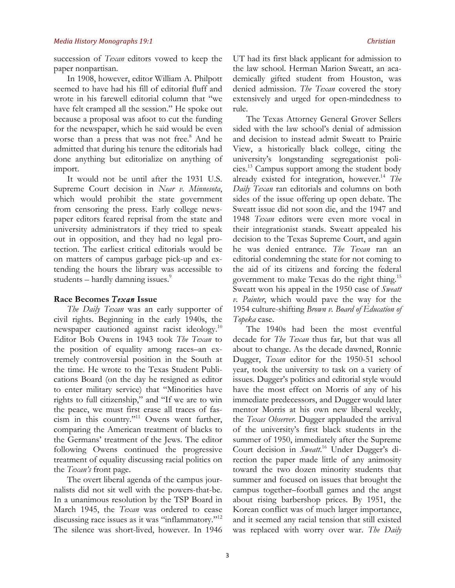succession of *Texan* editors vowed to keep the paper nonpartisan.

In 1908, however, editor William A. Philpott seemed to have had his fill of editorial fluff and wrote in his farewell editorial column that "we have felt cramped all the session." He spoke out because a proposal was afoot to cut the funding for the newspaper, which he said would be even worse than a press that was not free.<sup>8</sup> And he admitted that during his tenure the editorials had done anything but editorialize on anything of import.

It would not be until after the 1931 U.S. Supreme Court decision in *Near v. Minnesota*, which would prohibit the state government from censoring the press. Early college newspaper editors feared reprisal from the state and university administrators if they tried to speak out in opposition, and they had no legal protection. The earliest critical editorials would be on matters of campus garbage pick-up and extending the hours the library was accessible to students – hardly damning issues. $\degree$ 

## **Race Becomes** *Texan* **Issue**

*The Daily Texan* was an early supporter of civil rights. Beginning in the early 1940s, the newspaper cautioned against racist ideology.<sup>10</sup> Editor Bob Owens in 1943 took *The Texan* to the position of equality among races–an extremely controversial position in the South at the time. He wrote to the Texas Student Publications Board (on the day he resigned as editor to enter military service) that "Minorities have rights to full citizenship," and "If we are to win the peace, we must first erase all traces of fascism in this country."11 Owens went further, comparing the American treatment of blacks to the Germans' treatment of the Jews. The editor following Owens continued the progressive treatment of equality discussing racial politics on the *Texan's* front page.

The overt liberal agenda of the campus journalists did not sit well with the powers-that-be. In a unanimous resolution by the TSP Board in March 1945, the *Texan* was ordered to cease discussing race issues as it was "inflammatory."<sup>12</sup> The silence was short-lived, however. In 1946

The Texas Attorney General Grover Sellers sided with the law school's denial of admission and decision to instead admit Sweatt to Prairie View, a historically black college, citing the university's longstanding segregationist policies.13 Campus support among the student body already existed for integration, however.14 *The Daily Texan* ran editorials and columns on both sides of the issue offering up open debate. The Sweatt issue did not soon die, and the 1947 and 1948 *Texan* editors were even more vocal in their integrationist stands. Sweatt appealed his decision to the Texas Supreme Court, and again he was denied entrance. *The Texan* ran an editorial condemning the state for not coming to the aid of its citizens and forcing the federal government to make Texas do the right thing.15 Sweatt won his appeal in the 1950 case of *Sweatt v. Painter*, which would pave the way for the 1954 culture-shifting *Brown v. Board of Education of Topeka* case.

The 1940s had been the most eventful decade for *The Texan* thus far, but that was all about to change. As the decade dawned, Ronnie Dugger, *Texan* editor for the 1950-51 school year, took the university to task on a variety of issues. Dugger's politics and editorial style would have the most effect on Morris of any of his immediate predecessors, and Dugger would later mentor Morris at his own new liberal weekly, the *Texas Observer*. Dugger applauded the arrival of the university's first black students in the summer of 1950, immediately after the Supreme Court decision in *Sweatt*. <sup>16</sup> Under Dugger's direction the paper made little of any animosity toward the two dozen minority students that summer and focused on issues that brought the campus together–football games and the angst about rising barbershop prices. By 1951, the Korean conflict was of much larger importance, and it seemed any racial tension that still existed was replaced with worry over war. *The Daily*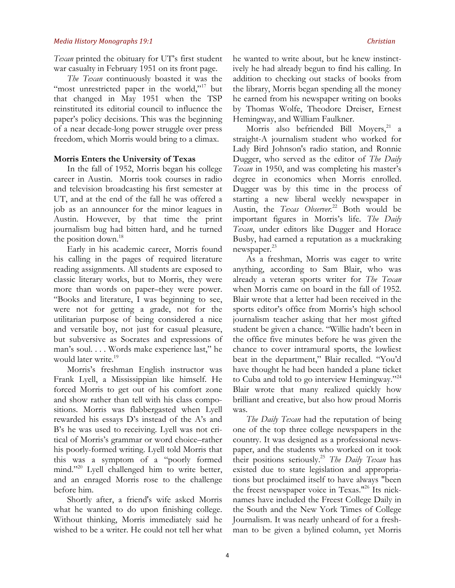*Texan* printed the obituary for UT's first student war casualty in February 1951 on its front page.

*The Texan* continuously boasted it was the "most unrestricted paper in the world,"<sup>17</sup> but that changed in May 1951 when the TSP reinstituted its editorial council to influence the paper's policy decisions. This was the beginning of a near decade-long power struggle over press freedom, which Morris would bring to a climax.

## **Morris Enters the University of Texas**

In the fall of 1952, Morris began his college career in Austin. Morris took courses in radio and television broadcasting his first semester at UT, and at the end of the fall he was offered a job as an announcer for the minor leagues in Austin. However, by that time the print journalism bug had bitten hard, and he turned the position down.<sup>18</sup>

Early in his academic career, Morris found his calling in the pages of required literature reading assignments. All students are exposed to classic literary works, but to Morris, they were more than words on paper–they were power. "Books and literature, I was beginning to see, were not for getting a grade, not for the utilitarian purpose of being considered a nice and versatile boy, not just for casual pleasure, but subversive as Socrates and expressions of man's soul. . . . Words make experience last," he would later write.<sup>19</sup>

Morris's freshman English instructor was Frank Lyell, a Mississippian like himself. He forced Morris to get out of his comfort zone and show rather than tell with his class compositions. Morris was flabbergasted when Lyell rewarded his essays D's instead of the A's and B's he was used to receiving. Lyell was not critical of Morris's grammar or word choice–rather his poorly-formed writing. Lyell told Morris that this was a symptom of a "poorly formed mind."<sup>20</sup> Lyell challenged him to write better, and an enraged Morris rose to the challenge before him.

Shortly after, a friend's wife asked Morris what he wanted to do upon finishing college. Without thinking, Morris immediately said he wished to be a writer. He could not tell her what he wanted to write about, but he knew instinctively he had already begun to find his calling. In addition to checking out stacks of books from the library, Morris began spending all the money he earned from his newspaper writing on books by Thomas Wolfe, Theodore Dreiser, Ernest Hemingway, and William Faulkner.

Morris also befriended Bill Moyers,<sup>21</sup> a straight-A journalism student who worked for Lady Bird Johnson's radio station, and Ronnie Dugger, who served as the editor of *The Daily Texan* in 1950, and was completing his master's degree in economics when Morris enrolled. Dugger was by this time in the process of starting a new liberal weekly newspaper in Austin, the *Texas Observer.*<sup>22</sup> Both would be important figures in Morris's life. *The Daily Texan*, under editors like Dugger and Horace Busby, had earned a reputation as a muckraking newspaper.<sup>23</sup>

As a freshman, Morris was eager to write anything, according to Sam Blair, who was already a veteran sports writer for *The Texan* when Morris came on board in the fall of 1952. Blair wrote that a letter had been received in the sports editor's office from Morris's high school journalism teacher asking that her most gifted student be given a chance. "Willie hadn't been in the office five minutes before he was given the chance to cover intramural sports, the lowliest beat in the department," Blair recalled. "You'd have thought he had been handed a plane ticket to Cuba and told to go interview Hemingway."24 Blair wrote that many realized quickly how brilliant and creative, but also how proud Morris was.

*The Daily Texan* had the reputation of being one of the top three college newspapers in the country. It was designed as a professional newspaper, and the students who worked on it took their positions seriously.25 *The Daily Texan* has existed due to state legislation and appropriations but proclaimed itself to have always "been the freest newspaper voice in Texas."26 Its nicknames have included the Freest College Daily in the South and the New York Times of College Journalism. It was nearly unheard of for a freshman to be given a bylined column, yet Morris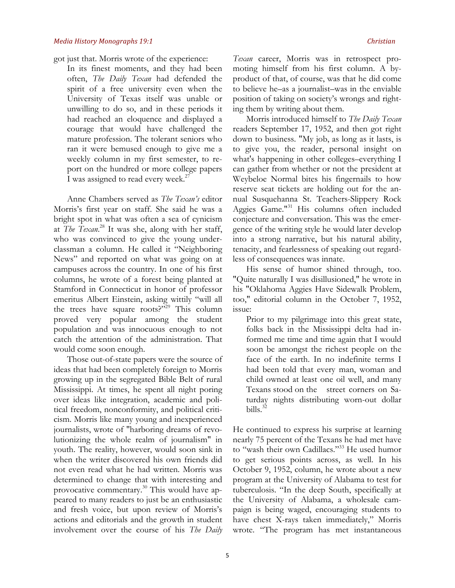got just that. Morris wrote of the experience:

In its finest moments, and they had been often, *The Daily Texan* had defended the spirit of a free university even when the University of Texas itself was unable or unwilling to do so, and in these periods it had reached an eloquence and displayed a courage that would have challenged the mature profession. The tolerant seniors who ran it were bemused enough to give me a weekly column in my first semester, to report on the hundred or more college papers I was assigned to read every week.<sup>27</sup>

Anne Chambers served as *The Texan's* editor Morris's first year on staff. She said he was a bright spot in what was often a sea of cynicism at *The Texan*. <sup>28</sup> It was she, along with her staff, who was convinced to give the young underclassman a column. He called it "Neighboring News" and reported on what was going on at campuses across the country. In one of his first columns, he wrote of a forest being planted at Stamford in Connecticut in honor of professor emeritus Albert Einstein, asking wittily "will all the trees have square roots?"<sup>29</sup> This column proved very popular among the student population and was innocuous enough to not catch the attention of the administration. That would come soon enough.

Those out-of-state papers were the source of ideas that had been completely foreign to Morris growing up in the segregated Bible Belt of rural Mississippi. At times, he spent all night poring over ideas like integration, academic and political freedom, nonconformity, and political criticism. Morris like many young and inexperienced journalists, wrote of "harboring dreams of revolutionizing the whole realm of journalism" in youth. The reality, however, would soon sink in when the writer discovered his own friends did not even read what he had written. Morris was determined to change that with interesting and provocative commentary.30 This would have appeared to many readers to just be an enthusiastic and fresh voice, but upon review of Morris's actions and editorials and the growth in student involvement over the course of his *The Daily* 

*Texan* career, Morris was in retrospect promoting himself from his first column. A byproduct of that, of course, was that he did come to believe he–as a journalist–was in the enviable position of taking on society's wrongs and righting them by writing about them.

Morris introduced himself to *The Daily Texan*  readers September 17, 1952, and then got right down to business. "My job, as long as it lasts, is to give you, the reader, personal insight on what's happening in other colleges–everything I can gather from whether or not the president at Weybeloe Normal bites his fingernails to how reserve seat tickets are holding out for the annual Susquehanna St. Teachers-Slippery Rock Aggies Game."31 His columns often included conjecture and conversation. This was the emergence of the writing style he would later develop into a strong narrative, but his natural ability, tenacity, and fearlessness of speaking out regardless of consequences was innate.

His sense of humor shined through, too. "Quite naturally I was disillusioned," he wrote in his "Oklahoma Aggies Have Sidewalk Problem, too," editorial column in the October 7, 1952, issue:

Prior to my pilgrimage into this great state, folks back in the Mississippi delta had informed me time and time again that I would soon be amongst the richest people on the face of the earth. In no indefinite terms I had been told that every man, woman and child owned at least one oil well, and many Texans stood on the street corners on Saturday nights distributing worn-out dollar bills. $32$ 

He continued to express his surprise at learning nearly 75 percent of the Texans he had met have to "wash their own Cadillacs."33 He used humor to get serious points across, as well. In his October 9, 1952, column, he wrote about a new program at the University of Alabama to test for tuberculosis. "In the deep South, specifically at the University of Alabama, a wholesale campaign is being waged, encouraging students to have chest X-rays taken immediately," Morris wrote. "The program has met instantaneous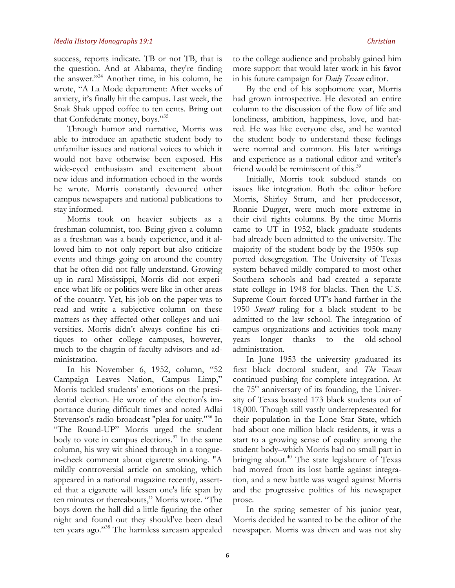success, reports indicate. TB or not TB, that is the question. And at Alabama, they're finding the answer."34 Another time, in his column, he wrote, "A La Mode department: After weeks of anxiety, it's finally hit the campus. Last week, the Snak Shak upped coffee to ten cents. Bring out that Confederate money, boys."35

Through humor and narrative, Morris was able to introduce an apathetic student body to unfamiliar issues and national voices to which it would not have otherwise been exposed. His wide-eyed enthusiasm and excitement about new ideas and information echoed in the words he wrote. Morris constantly devoured other campus newspapers and national publications to stay informed.

Morris took on heavier subjects as a freshman columnist, too. Being given a column as a freshman was a heady experience, and it allowed him to not only report but also criticize events and things going on around the country that he often did not fully understand. Growing up in rural Mississippi, Morris did not experience what life or politics were like in other areas of the country. Yet, his job on the paper was to read and write a subjective column on these matters as they affected other colleges and universities. Morris didn't always confine his critiques to other college campuses, however, much to the chagrin of faculty advisors and administration.

In his November 6, 1952, column, "52 Campaign Leaves Nation, Campus Limp," Morris tackled students' emotions on the presidential election. He wrote of the election's importance during difficult times and noted Adlai Stevenson's radio-broadcast "plea for unity."36 In "The Round-UP" Morris urged the student body to vote in campus elections.<sup>37</sup> In the same column, his wry wit shined through in a tonguein-cheek comment about cigarette smoking. "A mildly controversial article on smoking, which appeared in a national magazine recently, asserted that a cigarette will lessen one's life span by ten minutes or thereabouts," Morris wrote. "The boys down the hall did a little figuring the other night and found out they should've been dead ten years ago."38 The harmless sarcasm appealed

to the college audience and probably gained him more support that would later work in his favor in his future campaign for *Daily Texan* editor.

By the end of his sophomore year, Morris had grown introspective. He devoted an entire column to the discussion of the flow of life and loneliness, ambition, happiness, love, and hatred. He was like everyone else, and he wanted the student body to understand these feelings were normal and common. His later writings and experience as a national editor and writer's friend would be reminiscent of this.<sup>39</sup>

Initially, Morris took subdued stands on issues like integration. Both the editor before Morris, Shirley Strum, and her predecessor, Ronnie Dugger, were much more extreme in their civil rights columns. By the time Morris came to UT in 1952, black graduate students had already been admitted to the university. The majority of the student body by the 1950s supported desegregation. The University of Texas system behaved mildly compared to most other Southern schools and had created a separate state college in 1948 for blacks. Then the U.S. Supreme Court forced UT's hand further in the 1950 *Sweatt* ruling for a black student to be admitted to the law school. The integration of campus organizations and activities took many years longer thanks to the old-school administration.

In June 1953 the university graduated its first black doctoral student, and *The Texan* continued pushing for complete integration. At the  $75<sup>th</sup>$  anniversary of its founding, the University of Texas boasted 173 black students out of 18,000. Though still vastly underrepresented for their population in the Lone Star State, which had about one million black residents, it was a start to a growing sense of equality among the student body–which Morris had no small part in bringing about.<sup>40</sup> The state legislature of Texas had moved from its lost battle against integration, and a new battle was waged against Morris and the progressive politics of his newspaper prose.

In the spring semester of his junior year, Morris decided he wanted to be the editor of the newspaper. Morris was driven and was not shy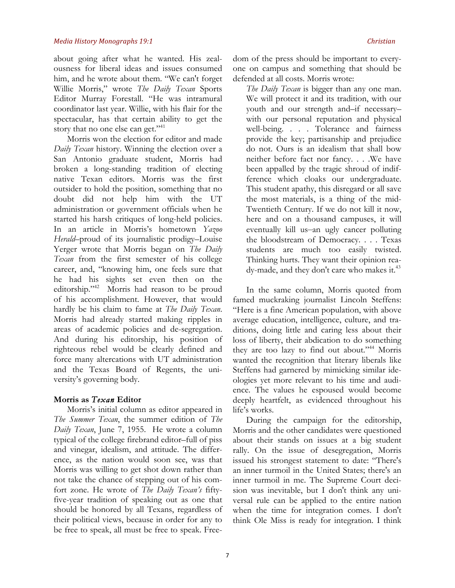about going after what he wanted. His zealousness for liberal ideas and issues consumed him, and he wrote about them. "We can't forget Willie Morris," wrote *The Daily Texan* Sports Editor Murray Forestall. "He was intramural coordinator last year. Willie, with his flair for the spectacular, has that certain ability to get the story that no one else can get."<sup>41</sup>

Morris won the election for editor and made *Daily Texan* history. Winning the election over a San Antonio graduate student, Morris had broken a long-standing tradition of electing native Texan editors. Morris was the first outsider to hold the position, something that no doubt did not help him with the UT administration or government officials when he started his harsh critiques of long-held policies. In an article in Morris's hometown *Yazoo Herald*–proud of its journalistic prodigy–Louise Yerger wrote that Morris began on *The Daily Texan* from the first semester of his college career, and, "knowing him, one feels sure that he had his sights set even then on the editorship."<sup>42</sup> Morris had reason to be proud of his accomplishment. However, that would hardly be his claim to fame at *The Daily Texan*. Morris had already started making ripples in areas of academic policies and de-segregation. And during his editorship, his position of righteous rebel would be clearly defined and force many altercations with UT administration and the Texas Board of Regents, the university's governing body.

## **Morris as** *Texan* **Editor**

Morris's initial column as editor appeared in *The Summer Texan*, the summer edition of *The Daily Texan*, June 7, 1955. He wrote a column typical of the college firebrand editor–full of piss and vinegar, idealism, and attitude. The difference, as the nation would soon see, was that Morris was willing to get shot down rather than not take the chance of stepping out of his comfort zone. He wrote of *The Daily Texan's* fiftyfive-year tradition of speaking out as one that should be honored by all Texans, regardless of their political views, because in order for any to be free to speak, all must be free to speak. Free-

dom of the press should be important to everyone on campus and something that should be defended at all costs. Morris wrote:

*The Daily Texan* is bigger than any one man. We will protect it and its tradition, with our youth and our strength and–if necessary– with our personal reputation and physical well-being. . . . Tolerance and fairness provide the key; partisanship and prejudice do not. Ours is an idealism that shall bow neither before fact nor fancy. . . .We have been appalled by the tragic shroud of indifference which cloaks our undergraduate. This student apathy, this disregard or all save the most materials, is a thing of the mid-Twentieth Century. If we do not kill it now, here and on a thousand campuses, it will eventually kill us–an ugly cancer polluting the bloodstream of Democracy. . . . Texas students are much too easily twisted. Thinking hurts. They want their opinion ready-made, and they don't care who makes it.<sup>43</sup>

In the same column, Morris quoted from famed muckraking journalist Lincoln Steffens: "Here is a fine American population, with above average education, intelligence, culture, and traditions, doing little and caring less about their loss of liberty, their abdication to do something they are too lazy to find out about."<sup>44</sup> Morris wanted the recognition that literary liberals like Steffens had garnered by mimicking similar ideologies yet more relevant to his time and audience. The values he espoused would become deeply heartfelt, as evidenced throughout his life's works.

During the campaign for the editorship, Morris and the other candidates were questioned about their stands on issues at a big student rally. On the issue of desegregation, Morris issued his strongest statement to date: "There's an inner turmoil in the United States; there's an inner turmoil in me. The Supreme Court decision was inevitable, but I don't think any universal rule can be applied to the entire nation when the time for integration comes. I don't think Ole Miss is ready for integration. I think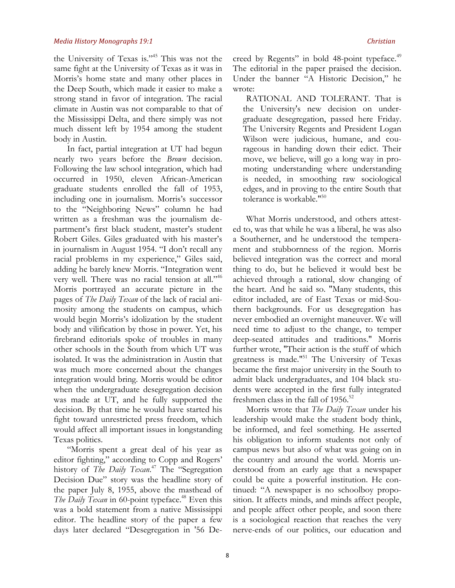the University of Texas is."45 This was not the same fight at the University of Texas as it was in Morris's home state and many other places in the Deep South, which made it easier to make a strong stand in favor of integration. The racial climate in Austin was not comparable to that of the Mississippi Delta, and there simply was not much dissent left by 1954 among the student body in Austin.

In fact, partial integration at UT had begun nearly two years before the *Brown* decision. Following the law school integration, which had occurred in 1950, eleven African-American graduate students enrolled the fall of 1953, including one in journalism. Morris's successor to the "Neighboring News" column he had written as a freshman was the journalism department's first black student, master's student Robert Giles. Giles graduated with his master's in journalism in August 1954. "I don't recall any racial problems in my experience," Giles said, adding he barely knew Morris. "Integration went very well. There was no racial tension at all."<sup>46</sup> Morris portrayed an accurate picture in the pages of *The Daily Texan* of the lack of racial animosity among the students on campus, which would begin Morris's idolization by the student body and vilification by those in power. Yet, his firebrand editorials spoke of troubles in many other schools in the South from which UT was isolated. It was the administration in Austin that was much more concerned about the changes integration would bring. Morris would be editor when the undergraduate desegregation decision was made at UT, and he fully supported the decision. By that time he would have started his fight toward unrestricted press freedom, which would affect all important issues in longstanding Texas politics.

"Morris spent a great deal of his year as editor fighting," according to Copp and Rogers' history of *The Daily Texan*. <sup>47</sup> The "Segregation Decision Due" story was the headline story of the paper July 8, 1955, above the masthead of The Daily Texan in 60-point typeface.<sup>48</sup> Even this was a bold statement from a native Mississippi editor. The headline story of the paper a few days later declared "Desegregation in '56 De-

creed by Regents" in bold 48-point typeface.<sup>49</sup> The editorial in the paper praised the decision. Under the banner "A Historic Decision," he wrote:

RATIONAL AND TOLERANT. That is the University's new decision on undergraduate desegregation, passed here Friday. The University Regents and President Logan Wilson were judicious, humane, and courageous in handing down their edict. Their move, we believe, will go a long way in promoting understanding where understanding is needed, in smoothing raw sociological edges, and in proving to the entire South that tolerance is workable."50

What Morris understood, and others attested to, was that while he was a liberal, he was also a Southerner, and he understood the temperament and stubbornness of the region. Morris believed integration was the correct and moral thing to do, but he believed it would best be achieved through a rational, slow changing of the heart. And he said so. "Many students, this editor included, are of East Texas or mid-Southern backgrounds. For us desegregation has never embodied an overnight maneuver. We will need time to adjust to the change, to temper deep-seated attitudes and traditions." Morris further wrote, "Their action is the stuff of which greatness is made."51 The University of Texas became the first major university in the South to admit black undergraduates, and 104 black students were accepted in the first fully integrated freshmen class in the fall of  $1956$ .<sup>52</sup>

Morris wrote that *The Daily Texan* under his leadership would make the student body think, be informed, and feel something. He asserted his obligation to inform students not only of campus news but also of what was going on in the country and around the world. Morris understood from an early age that a newspaper could be quite a powerful institution. He continued: "A newspaper is no schoolboy proposition. It affects minds, and minds affect people, and people affect other people, and soon there is a sociological reaction that reaches the very nerve-ends of our politics, our education and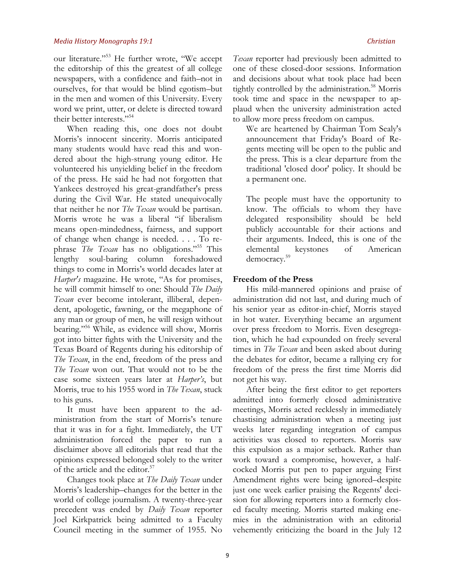our literature."53 He further wrote, "We accept the editorship of this the greatest of all college newspapers, with a confidence and faith–not in ourselves, for that would be blind egotism–but in the men and women of this University. Every word we print, utter, or delete is directed toward their better interests."54

When reading this, one does not doubt Morris's innocent sincerity. Morris anticipated many students would have read this and wondered about the high-strung young editor. He volunteered his unyielding belief in the freedom of the press. He said he had not forgotten that Yankees destroyed his great-grandfather's press during the Civil War. He stated unequivocally that neither he nor *The Texan* would be partisan. Morris wrote he was a liberal "if liberalism means open-mindedness, fairness, and support of change when change is needed. . . . To rephrase *The Texan* has no obligations."55 This lengthy soul-baring column foreshadowed things to come in Morris's world decades later at *Harper's* magazine. He wrote, "As for promises, he will commit himself to one: Should *The Daily Texan* ever become intolerant, illiberal, dependent, apologetic, fawning, or the megaphone of any man or group of men, he will resign without bearing."56 While, as evidence will show, Morris got into bitter fights with the University and the Texas Board of Regents during his editorship of *The Texan*, in the end, freedom of the press and *The Texan* won out. That would not to be the case some sixteen years later at *Harper's*, but Morris, true to his 1955 word in *The Texan*, stuck to his guns.

It must have been apparent to the administration from the start of Morris's tenure that it was in for a fight. Immediately, the UT administration forced the paper to run a disclaimer above all editorials that read that the opinions expressed belonged solely to the writer of the article and the editor.<sup>57</sup>

Changes took place at *The Daily Texan* under Morris's leadership–changes for the better in the world of college journalism. A twenty-three-year precedent was ended by *Daily Texan* reporter Joel Kirkpatrick being admitted to a Faculty Council meeting in the summer of 1955. No

*Texan* reporter had previously been admitted to one of these closed-door sessions. Information and decisions about what took place had been tightly controlled by the administration.<sup>58</sup> Morris took time and space in the newspaper to applaud when the university administration acted to allow more press freedom on campus.

We are heartened by Chairman Tom Sealy's announcement that Friday's Board of Regents meeting will be open to the public and the press. This is a clear departure from the traditional 'closed door' policy. It should be a permanent one.

The people must have the opportunity to know. The officials to whom they have delegated responsibility should be held publicly accountable for their actions and their arguments. Indeed, this is one of the elemental keystones of American democracy.59

## **Freedom of the Press**

His mild-mannered opinions and praise of administration did not last, and during much of his senior year as editor-in-chief, Morris stayed in hot water. Everything became an argument over press freedom to Morris. Even desegregation, which he had expounded on freely several times in *The Texan* and been asked about during the debates for editor, became a rallying cry for freedom of the press the first time Morris did not get his way.

After being the first editor to get reporters admitted into formerly closed administrative meetings, Morris acted recklessly in immediately chastising administration when a meeting just weeks later regarding integration of campus activities was closed to reporters. Morris saw this expulsion as a major setback. Rather than work toward a compromise, however, a halfcocked Morris put pen to paper arguing First Amendment rights were being ignored–despite just one week earlier praising the Regents' decision for allowing reporters into a formerly closed faculty meeting. Morris started making enemies in the administration with an editorial vehemently criticizing the board in the July 12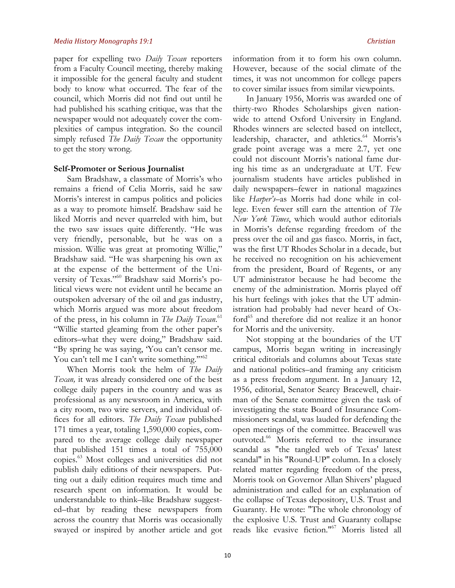paper for expelling two *Daily Texan* reporters from a Faculty Council meeting, thereby making it impossible for the general faculty and student body to know what occurred. The fear of the council, which Morris did not find out until he had published his scathing critique, was that the newspaper would not adequately cover the complexities of campus integration. So the council simply refused *The Daily Texan* the opportunity to get the story wrong.

#### **Self-Promoter or Serious Journalist**

Sam Bradshaw, a classmate of Morris's who remains a friend of Celia Morris, said he saw Morris's interest in campus politics and policies as a way to promote himself. Bradshaw said he liked Morris and never quarreled with him, but the two saw issues quite differently. "He was very friendly, personable, but he was on a mission. Willie was great at promoting Willie," Bradshaw said. "He was sharpening his own ax at the expense of the betterment of the University of Texas."60 Bradshaw said Morris's political views were not evident until he became an outspoken adversary of the oil and gas industry, which Morris argued was more about freedom of the press, in his column in *The Daily Texan*. 61 "Willie started gleaming from the other paper's editors–what they were doing," Bradshaw said. "By spring he was saying, 'You can't censor me. You can't tell me I can't write something."<sup>52</sup>

When Morris took the helm of *The Daily Texan,* it was already considered one of the best college daily papers in the country and was as professional as any newsroom in America, with a city room, two wire servers, and individual offices for all editors. *The Daily Texan* published 171 times a year, totaling 1,590,000 copies, compared to the average college daily newspaper that published 151 times a total of 755,000 copies.63 Most colleges and universities did not publish daily editions of their newspapers. Putting out a daily edition requires much time and research spent on information. It would be understandable to think–like Bradshaw suggested–that by reading these newspapers from across the country that Morris was occasionally swayed or inspired by another article and got information from it to form his own column. However, because of the social climate of the times, it was not uncommon for college papers to cover similar issues from similar viewpoints.

In January 1956, Morris was awarded one of thirty-two Rhodes Scholarships given nationwide to attend Oxford University in England. Rhodes winners are selected based on intellect, leadership, character, and athletics.<sup>64</sup> Morris's grade point average was a mere 2.7, yet one could not discount Morris's national fame during his time as an undergraduate at UT. Few journalism students have articles published in daily newspapers–fewer in national magazines like *Harper's*–as Morris had done while in college. Even fewer still earn the attention of *The New York Times*, which would author editorials in Morris's defense regarding freedom of the press over the oil and gas fiasco. Morris, in fact, was the first UT Rhodes Scholar in a decade, but he received no recognition on his achievement from the president, Board of Regents, or any UT administrator because he had become the enemy of the administration. Morris played off his hurt feelings with jokes that the UT administration had probably had never heard of Oxford<sup>65</sup> and therefore did not realize it an honor for Morris and the university.

Not stopping at the boundaries of the UT campus, Morris began writing in increasingly critical editorials and columns about Texas state and national politics–and framing any criticism as a press freedom argument. In a January 12, 1956, editorial, Senator Searcy Bracewell, chairman of the Senate committee given the task of investigating the state Board of Insurance Commissioners scandal, was lauded for defending the open meetings of the committee. Bracewell was outvoted.66 Morris referred to the insurance scandal as "the tangled web of Texas' latest scandal" in his "Round-UP" column. In a closely related matter regarding freedom of the press, Morris took on Governor Allan Shivers' plagued administration and called for an explanation of the collapse of Texas depository, U.S. Trust and Guaranty. He wrote: "The whole chronology of the explosive U.S. Trust and Guaranty collapse reads like evasive fiction."67 Morris listed all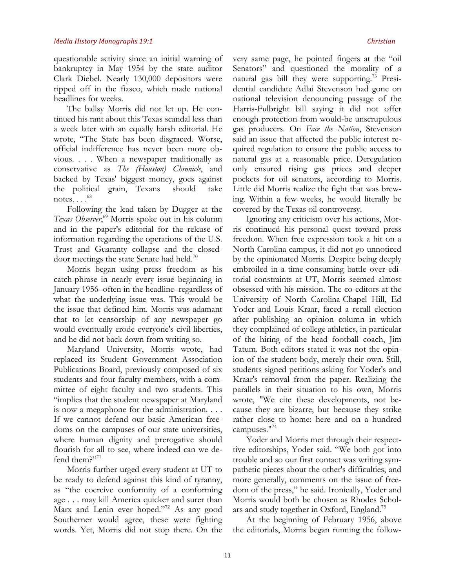questionable activity since an initial warning of bankruptcy in May 1954 by the state auditor Clark Diebel. Nearly 130,000 depositors were ripped off in the fiasco, which made national headlines for weeks.

The ballsy Morris did not let up. He continued his rant about this Texas scandal less than a week later with an equally harsh editorial. He wrote, "The State has been disgraced. Worse, official indifference has never been more obvious. . . . When a newspaper traditionally as conservative as *The (Houston) Chronicle*, and backed by Texas' biggest money, goes against the political grain, Texans should take notes... $.^{68}$ 

Following the lead taken by Dugger at the *Texas Observer*, <sup>69</sup> Morris spoke out in his column and in the paper's editorial for the release of information regarding the operations of the U.S. Trust and Guaranty collapse and the closeddoor meetings the state Senate had held.<sup>70</sup>

Morris began using press freedom as his catch-phrase in nearly every issue beginning in January 1956–often in the headline–regardless of what the underlying issue was. This would be the issue that defined him. Morris was adamant that to let censorship of any newspaper go would eventually erode everyone's civil liberties, and he did not back down from writing so.

Maryland University, Morris wrote, had replaced its Student Government Association Publications Board, previously composed of six students and four faculty members, with a committee of eight faculty and two students. This "implies that the student newspaper at Maryland is now a megaphone for the administration. . . . If we cannot defend our basic American freedoms on the campuses of our state universities, where human dignity and prerogative should flourish for all to see, where indeed can we defend them?"71

Morris further urged every student at UT to be ready to defend against this kind of tyranny, as "the coercive conformity of a conforming age . . . may kill America quicker and surer than Marx and Lenin ever hoped."<sup>72</sup> As any good Southerner would agree, these were fighting words. Yet, Morris did not stop there. On the very same page, he pointed fingers at the "oil Senators" and questioned the morality of a natural gas bill they were supporting.<sup>73</sup> Presidential candidate Adlai Stevenson had gone on national television denouncing passage of the Harris-Fulbright bill saying it did not offer enough protection from would-be unscrupulous gas producers. On *Face the Nation*, Stevenson said an issue that affected the public interest required regulation to ensure the public access to natural gas at a reasonable price. Deregulation only ensured rising gas prices and deeper pockets for oil senators, according to Morris. Little did Morris realize the fight that was brewing. Within a few weeks, he would literally be covered by the Texas oil controversy.

Ignoring any criticism over his actions, Morris continued his personal quest toward press freedom. When free expression took a hit on a North Carolina campus, it did not go unnoticed by the opinionated Morris. Despite being deeply embroiled in a time-consuming battle over editorial constraints at UT, Morris seemed almost obsessed with his mission. The co-editors at the University of North Carolina-Chapel Hill, Ed Yoder and Louis Kraar, faced a recall election after publishing an opinion column in which they complained of college athletics, in particular of the hiring of the head football coach, Jim Tatum. Both editors stated it was not the opinion of the student body, merely their own. Still, students signed petitions asking for Yoder's and Kraar's removal from the paper. Realizing the parallels in their situation to his own, Morris wrote, "We cite these developments, not because they are bizarre, but because they strike rather close to home: here and on a hundred campuses."74

Yoder and Morris met through their respecttive editorships, Yoder said. "We both got into trouble and so our first contact was writing sympathetic pieces about the other's difficulties, and more generally, comments on the issue of freedom of the press," he said. Ironically, Yoder and Morris would both be chosen as Rhodes Scholars and study together in Oxford, England.<sup>75</sup>

At the beginning of February 1956, above the editorials, Morris began running the follow-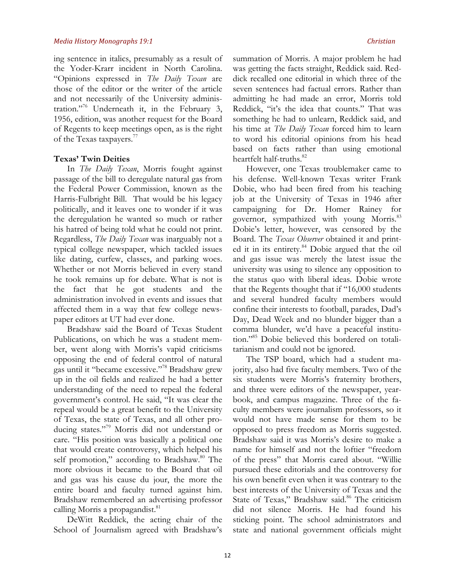ing sentence in italics, presumably as a result of the Yoder-Krarr incident in North Carolina. "Opinions expressed in *The Daily Texan* are those of the editor or the writer of the article and not necessarily of the University administration."76 Underneath it, in the February 3, 1956, edition, was another request for the Board of Regents to keep meetings open, as is the right of the Texas taxpayers.<sup>77</sup>

## **Texas' Twin Deities**

In *The Daily Texan*, Morris fought against passage of the bill to deregulate natural gas from the Federal Power Commission, known as the Harris-Fulbright Bill. That would be his legacy politically, and it leaves one to wonder if it was the deregulation he wanted so much or rather his hatred of being told what he could not print. Regardless, *The Daily Texan* was inarguably not a typical college newspaper, which tackled issues like dating, curfew, classes, and parking woes. Whether or not Morris believed in every stand he took remains up for debate. What is not is the fact that he got students and the administration involved in events and issues that affected them in a way that few college newspaper editors at UT had ever done.

Bradshaw said the Board of Texas Student Publications, on which he was a student member, went along with Morris's vapid criticisms opposing the end of federal control of natural gas until it "became excessive."78 Bradshaw grew up in the oil fields and realized he had a better understanding of the need to repeal the federal government's control. He said, "It was clear the repeal would be a great benefit to the University of Texas, the state of Texas, and all other producing states."79 Morris did not understand or care. "His position was basically a political one that would create controversy, which helped his self promotion," according to Bradshaw.<sup>80</sup> The more obvious it became to the Board that oil and gas was his cause du jour, the more the entire board and faculty turned against him. Bradshaw remembered an advertising professor calling Morris a propagandist.<sup>81</sup>

DeWitt Reddick, the acting chair of the School of Journalism agreed with Bradshaw's

summation of Morris. A major problem he had was getting the facts straight, Reddick said. Reddick recalled one editorial in which three of the seven sentences had factual errors. Rather than admitting he had made an error, Morris told Reddick, "it's the idea that counts." That was something he had to unlearn, Reddick said, and his time at *The Daily Texan* forced him to learn to word his editorial opinions from his head based on facts rather than using emotional heartfelt half-truths.<sup>82</sup>

However, one Texas troublemaker came to his defense. Well-known Texas writer Frank Dobie, who had been fired from his teaching job at the University of Texas in 1946 after campaigning for Dr. Homer Rainey for governor, sympathized with young Morris.<sup>83</sup> Dobie's letter, however, was censored by the Board. The *Texas Observer* obtained it and printed it in its entirety.<sup>84</sup> Dobie argued that the oil and gas issue was merely the latest issue the university was using to silence any opposition to the status quo with liberal ideas. Dobie wrote that the Regents thought that if "16,000 students and several hundred faculty members would confine their interests to football, parades, Dad's Day, Dead Week and no blunder bigger than a comma blunder, we'd have a peaceful institution."85 Dobie believed this bordered on totalitarianism and could not be ignored.

The TSP board, which had a student majority, also had five faculty members. Two of the six students were Morris's fraternity brothers, and three were editors of the newspaper, yearbook, and campus magazine. Three of the faculty members were journalism professors, so it would not have made sense for them to be opposed to press freedom as Morris suggested. Bradshaw said it was Morris's desire to make a name for himself and not the loftier "freedom of the press" that Morris cared about. "Willie pursued these editorials and the controversy for his own benefit even when it was contrary to the best interests of the University of Texas and the State of Texas," Bradshaw said.<sup>86</sup> The criticism did not silence Morris. He had found his sticking point. The school administrators and state and national government officials might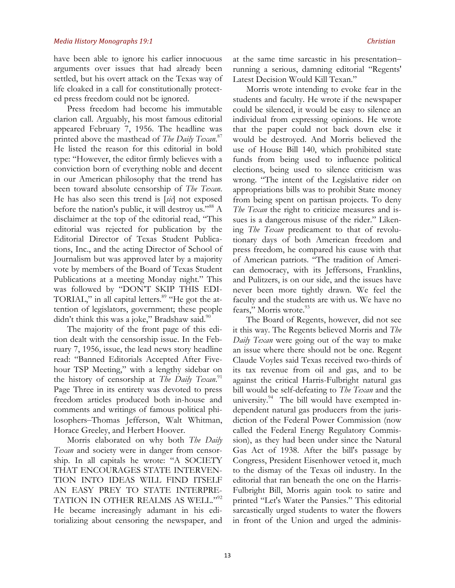have been able to ignore his earlier innocuous arguments over issues that had already been settled, but his overt attack on the Texas way of life cloaked in a call for constitutionally protected press freedom could not be ignored.

Press freedom had become his immutable clarion call. Arguably, his most famous editorial appeared February 7, 1956. The headline was printed above the masthead of *The Daily Texan*. 87 He listed the reason for this editorial in bold type: "However, the editor firmly believes with a conviction born of everything noble and decent in our American philosophy that the trend has been toward absolute censorship of *The Texan*. He has also seen this trend is [*sic*] not exposed before the nation's public, it will destroy us."88 A disclaimer at the top of the editorial read, "This editorial was rejected for publication by the Editorial Director of Texas Student Publications, Inc., and the acting Director of School of Journalism but was approved later by a majority vote by members of the Board of Texas Student Publications at a meeting Monday night." This was followed by "DON'T SKIP THIS EDI-TORIAL," in all capital letters.<sup>89</sup> "He got the attention of legislators, government; these people didn't think this was a joke," Bradshaw said. $90$ 

The majority of the front page of this edition dealt with the censorship issue. In the February 7, 1956, issue, the lead news story headline read: "Banned Editorials Accepted After Fivehour TSP Meeting," with a lengthy sidebar on the history of censorship at *The Daily Texan*.<sup>91</sup> Page Three in its entirety was devoted to press freedom articles produced both in-house and comments and writings of famous political philosophers–Thomas Jefferson, Walt Whitman, Horace Greeley, and Herbert Hoover.

Morris elaborated on why both *The Daily Texan* and society were in danger from censorship. In all capitals he wrote: "A SOCIETY THAT ENCOURAGES STATE INTERVEN-TION INTO IDEAS WILL FIND ITSELF AN EASY PREY TO STATE INTERPRE-TATION IN OTHER REALMS AS WELL."<sup>92</sup> He became increasingly adamant in his editorializing about censoring the newspaper, and at the same time sarcastic in his presentation– running a serious, damning editorial "Regents' Latest Decision Would Kill Texan."

Morris wrote intending to evoke fear in the students and faculty. He wrote if the newspaper could be silenced, it would be easy to silence an individual from expressing opinions. He wrote that the paper could not back down else it would be destroyed. And Morris believed the use of House Bill 140, which prohibited state funds from being used to influence political elections, being used to silence criticism was wrong. "The intent of the Legislative rider on appropriations bills was to prohibit State money from being spent on partisan projects. To deny *The Texan* the right to criticize measures and issues is a dangerous misuse of the rider." Likening *The Texan* predicament to that of revolutionary days of both American freedom and press freedom, he compared his cause with that of American patriots. "The tradition of American democracy, with its Jeffersons, Franklins, and Pulitzers, is on our side, and the issues have never been more tightly drawn. We feel the faculty and the students are with us. We have no fears," Morris wrote.<sup>93</sup>

The Board of Regents, however, did not see it this way. The Regents believed Morris and *The Daily Texan* were going out of the way to make an issue where there should not be one. Regent Claude Voyles said Texas received two-thirds of its tax revenue from oil and gas, and to be against the critical Harris-Fulbright natural gas bill would be self-defeating to *The Texan* and the university.<sup>94</sup> The bill would have exempted independent natural gas producers from the jurisdiction of the Federal Power Commission (now called the Federal Energy Regulatory Commission), as they had been under since the Natural Gas Act of 1938. After the bill's passage by Congress, President Eisenhower vetoed it, much to the dismay of the Texas oil industry. In the editorial that ran beneath the one on the Harris-Fulbright Bill, Morris again took to satire and printed "Let's Water the Pansies." This editorial sarcastically urged students to water the flowers in front of the Union and urged the adminis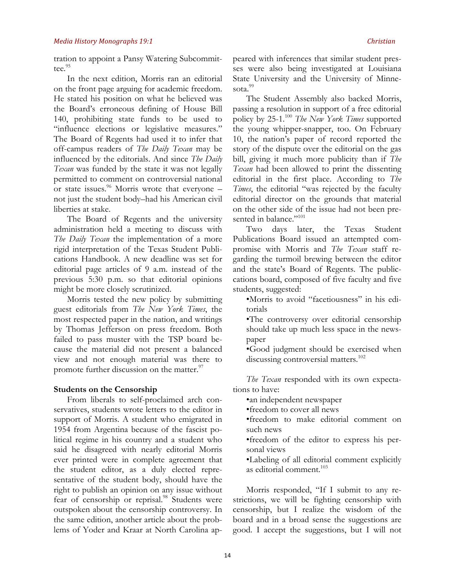tration to appoint a Pansy Watering Subcommittee.<sup>95</sup>

In the next edition, Morris ran an editorial on the front page arguing for academic freedom. He stated his position on what he believed was the Board's erroneous defining of House Bill 140, prohibiting state funds to be used to "influence elections or legislative measures." The Board of Regents had used it to infer that off-campus readers of *The Daily Texan* may be influenced by the editorials. And since *The Daily Texan* was funded by the state it was not legally permitted to comment on controversial national or state issues.<sup>96</sup> Morris wrote that everyone  $$ not just the student body–had his American civil liberties at stake.

The Board of Regents and the university administration held a meeting to discuss with *The Daily Texan* the implementation of a more rigid interpretation of the Texas Student Publications Handbook. A new deadline was set for editorial page articles of 9 a.m. instead of the previous 5:30 p.m. so that editorial opinions might be more closely scrutinized.

Morris tested the new policy by submitting guest editorials from *The New York Times*, the most respected paper in the nation, and writings by Thomas Jefferson on press freedom. Both failed to pass muster with the TSP board because the material did not present a balanced view and not enough material was there to promote further discussion on the matter.<sup>97</sup>

## **Students on the Censorship**

From liberals to self-proclaimed arch conservatives, students wrote letters to the editor in support of Morris. A student who emigrated in 1954 from Argentina because of the fascist political regime in his country and a student who said he disagreed with nearly editorial Morris ever printed were in complete agreement that the student editor, as a duly elected representative of the student body, should have the right to publish an opinion on any issue without fear of censorship or reprisal.<sup>98</sup> Students were outspoken about the censorship controversy. In the same edition, another article about the problems of Yoder and Kraar at North Carolina appeared with inferences that similar student presses were also being investigated at Louisiana State University and the University of Minnesota.<sup>99</sup>

The Student Assembly also backed Morris, passing a resolution in support of a free editorial policy by 25-1.100 *The New York Times* supported the young whipper-snapper, too. On February 10, the nation's paper of record reported the story of the dispute over the editorial on the gas bill, giving it much more publicity than if *The Texan* had been allowed to print the dissenting editorial in the first place. According to *The Times*, the editorial "was rejected by the faculty editorial director on the grounds that material on the other side of the issue had not been presented in balance."<sup>101</sup>

Two days later, the Texas Student Publications Board issued an attempted compromise with Morris and *The Texan* staff regarding the turmoil brewing between the editor and the state's Board of Regents. The publiccations board, composed of five faculty and five students, suggested:

•Morris to avoid "facetiousness" in his editorials

•The controversy over editorial censorship should take up much less space in the newspaper

•Good judgment should be exercised when discussing controversial matters.<sup>102</sup>

*The Texan* responded with its own expectations to have:

•an independent newspaper

•freedom to cover all news

•freedom to make editorial comment on such news

•freedom of the editor to express his personal views

•Labeling of all editorial comment explicitly as editorial comment. 103

Morris responded, "If I submit to any restrictions, we will be fighting censorship with censorship, but I realize the wisdom of the board and in a broad sense the suggestions are good. I accept the suggestions, but I will not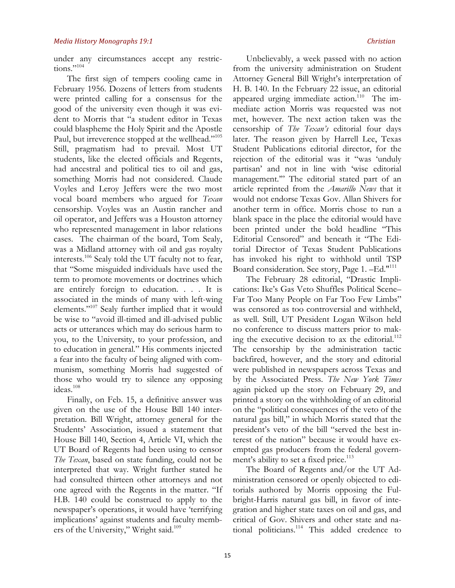under any circumstances accept any restrictions."<sup>104</sup>

The first sign of tempers cooling came in February 1956. Dozens of letters from students were printed calling for a consensus for the good of the university even though it was evident to Morris that "a student editor in Texas could blaspheme the Holy Spirit and the Apostle Paul, but irreverence stopped at the wellhead."105 Still, pragmatism had to prevail. Most UT students, like the elected officials and Regents, had ancestral and political ties to oil and gas, something Morris had not considered. Claude Voyles and Leroy Jeffers were the two most vocal board members who argued for *Texan* censorship. Voyles was an Austin rancher and oil operator, and Jeffers was a Houston attorney who represented management in labor relations cases. The chairman of the board, Tom Sealy, was a Midland attorney with oil and gas royalty interests.106 Sealy told the UT faculty not to fear, that "Some misguided individuals have used the term to promote movements or doctrines which are entirely foreign to education. . . . It is associated in the minds of many with left-wing elements."107 Sealy further implied that it would be wise to "avoid ill-timed and ill-advised public acts or utterances which may do serious harm to you, to the University, to your profession, and to education in general." His comments injected a fear into the faculty of being aligned with communism, something Morris had suggested of those who would try to silence any opposing ideas.<sup>108</sup>

Finally, on Feb. 15, a definitive answer was given on the use of the House Bill 140 interpretation. Bill Wright, attorney general for the Students' Association, issued a statement that House Bill 140, Section 4, Article VI, which the UT Board of Regents had been using to censor *The Texan*, based on state funding, could not be interpreted that way. Wright further stated he had consulted thirteen other attorneys and not one agreed with the Regents in the matter. "If H.B. 140 could be construed to apply to the newspaper's operations, it would have 'terrifying implications' against students and faculty members of the University," Wright said.<sup>109</sup>

Unbelievably, a week passed with no action from the university administration on Student Attorney General Bill Wright's interpretation of H. B. 140. In the February 22 issue, an editorial appeared urging immediate action.<sup>110</sup> The immediate action Morris was requested was not met, however. The next action taken was the censorship of *The Texan's* editorial four days later. The reason given by Harrell Lee, Texas Student Publications editorial director, for the rejection of the editorial was it "was 'unduly partisan' and not in line with 'wise editorial management."" The editorial stated part of an article reprinted from the *Amarillo News* that it would not endorse Texas Gov. Allan Shivers for another term in office. Morris chose to run a blank space in the place the editorial would have been printed under the bold headline "This Editorial Censored" and beneath it "The Editorial Director of Texas Student Publications has invoked his right to withhold until TSP Board consideration. See story, Page 1. -Ed."<sup>111</sup>

The February 28 editorial, "Drastic Implications: Ike's Gas Veto Shuffles Political Scene– Far Too Many People on Far Too Few Limbs" was censored as too controversial and withheld, as well. Still, UT President Logan Wilson held no conference to discuss matters prior to making the executive decision to ax the editorial.<sup>112</sup> The censorship by the administration tactic backfired, however, and the story and editorial were published in newspapers across Texas and by the Associated Press. *The New York Times*  again picked up the story on February 29, and printed a story on the withholding of an editorial on the "political consequences of the veto of the natural gas bill," in which Morris stated that the president's veto of the bill "served the best interest of the nation" because it would have exempted gas producers from the federal government's ability to set a fixed price.<sup>113</sup>

The Board of Regents and/or the UT Administration censored or openly objected to editorials authored by Morris opposing the Fulbright-Harris natural gas bill, in favor of integration and higher state taxes on oil and gas, and critical of Gov. Shivers and other state and national politicians.<sup>114</sup> This added credence to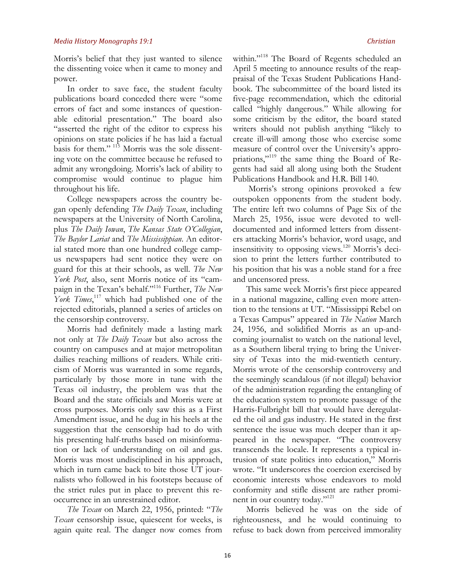Morris's belief that they just wanted to silence the dissenting voice when it came to money and power.

In order to save face, the student faculty publications board conceded there were "some errors of fact and some instances of questionable editorial presentation." The board also "asserted the right of the editor to express his opinions on state policies if he has laid a factual basis for them." <sup>115</sup> Morris was the sole dissenting vote on the committee because he refused to admit any wrongdoing. Morris's lack of ability to compromise would continue to plague him throughout his life.

College newspapers across the country began openly defending *The Daily Texan*, including newspapers at the University of North Carolina, plus *The Daily Iowan*, *The Kansas State O'Collegian*, *The Baylor Lariat* and *The Mississippian*. An editorial stated more than one hundred college campus newspapers had sent notice they were on guard for this at their schools, as well. *The New York Post*, also, sent Morris notice of its "campaign in the Texan's behalf."116 Further, *The New*  York Times,<sup>117</sup> which had published one of the rejected editorials, planned a series of articles on the censorship controversy.

Morris had definitely made a lasting mark not only at *The Daily Texan* but also across the country on campuses and at major metropolitan dailies reaching millions of readers. While criticism of Morris was warranted in some regards, particularly by those more in tune with the Texas oil industry, the problem was that the Board and the state officials and Morris were at cross purposes. Morris only saw this as a First Amendment issue, and he dug in his heels at the suggestion that the censorship had to do with his presenting half-truths based on misinformation or lack of understanding on oil and gas. Morris was most undisciplined in his approach, which in turn came back to bite those UT journalists who followed in his footsteps because of the strict rules put in place to prevent this reoccurrence in an unrestrained editor.

*The Texan* on March 22, 1956, printed: "*The Texan* censorship issue, quiescent for weeks, is again quite real. The danger now comes from

within."<sup>118</sup> The Board of Regents scheduled an April 5 meeting to announce results of the reappraisal of the Texas Student Publications Handbook. The subcommittee of the board listed its five-page recommendation, which the editorial called "highly dangerous." While allowing for some criticism by the editor, the board stated writers should not publish anything "likely to create ill-will among those who exercise some measure of control over the University's appropriations,"119 the same thing the Board of Regents had said all along using both the Student Publications Handbook and H.R. Bill 140.

Morris's strong opinions provoked a few outspoken opponents from the student body. The entire left two columns of Page Six of the March 25, 1956, issue were devoted to welldocumented and informed letters from dissenters attacking Morris's behavior, word usage, and insensitivity to opposing views.<sup>120</sup> Morris's decision to print the letters further contributed to his position that his was a noble stand for a free and uncensored press.

This same week Morris's first piece appeared in a national magazine, calling even more attention to the tensions at UT. "Mississippi Rebel on a Texas Campus" appeared in *The Nation* March 24, 1956, and solidified Morris as an up-andcoming journalist to watch on the national level, as a Southern liberal trying to bring the University of Texas into the mid-twentieth century. Morris wrote of the censorship controversy and the seemingly scandalous (if not illegal) behavior of the administration regarding the entangling of the education system to promote passage of the Harris-Fulbright bill that would have deregulated the oil and gas industry. He stated in the first sentence the issue was much deeper than it appeared in the newspaper. "The controversy transcends the locale. It represents a typical intrusion of state politics into education," Morris wrote. "It underscores the coercion exercised by economic interests whose endeavors to mold conformity and stifle dissent are rather prominent in our country today."121

Morris believed he was on the side of righteousness, and he would continuing to refuse to back down from perceived immorality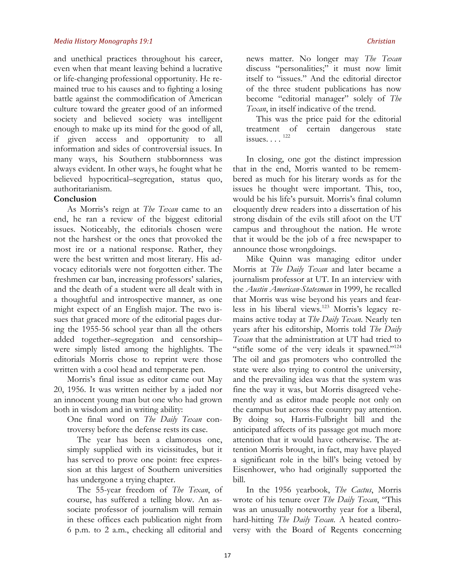and unethical practices throughout his career, even when that meant leaving behind a lucrative or life-changing professional opportunity. He remained true to his causes and to fighting a losing battle against the commodification of American culture toward the greater good of an informed society and believed society was intelligent enough to make up its mind for the good of all, if given access and opportunity to all information and sides of controversial issues. In many ways, his Southern stubbornness was always evident. In other ways, he fought what he believed hypocritical–segregation, status quo, authoritarianism.

## **Conclusion**

As Morris's reign at *The Texan* came to an end, he ran a review of the biggest editorial issues. Noticeably, the editorials chosen were not the harshest or the ones that provoked the most ire or a national response. Rather, they were the best written and most literary. His advocacy editorials were not forgotten either. The freshmen car ban, increasing professors' salaries, and the death of a student were all dealt with in a thoughtful and introspective manner, as one might expect of an English major. The two issues that graced more of the editorial pages during the 1955-56 school year than all the others added together–segregation and censorship– were simply listed among the highlights. The editorials Morris chose to reprint were those written with a cool head and temperate pen.

Morris's final issue as editor came out May 20, 1956. It was written neither by a jaded nor an innocent young man but one who had grown both in wisdom and in writing ability:

One final word on *The Daily Texan* controversy before the defense rests its case.

The year has been a clamorous one, simply supplied with its vicissitudes, but it has served to prove one point: free expression at this largest of Southern universities has undergone a trying chapter.

The 55-year freedom of *The Texan*, of course, has suffered a telling blow. An associate professor of journalism will remain in these offices each publication night from 6 p.m. to 2 a.m., checking all editorial and news matter. No longer may *The Texan* discuss "personalities;" it must now limit itself to "issues." And the editorial director of the three student publications has now become "editorial manager" solely of *The Texan*, in itself indicative of the trend.

This was the price paid for the editorial treatment of certain dangerous state issues.  $\ldots$ <sup>122</sup>

In closing, one got the distinct impression that in the end, Morris wanted to be remembered as much for his literary words as for the issues he thought were important. This, too, would be his life's pursuit. Morris's final column eloquently drew readers into a dissertation of his strong disdain of the evils still afoot on the UT campus and throughout the nation. He wrote that it would be the job of a free newspaper to announce those wrongdoings.

Mike Quinn was managing editor under Morris at *The Daily Texan* and later became a journalism professor at UT. In an interview with the *Austin American-Statesman* in 1999, he recalled that Morris was wise beyond his years and fearless in his liberal views.123 Morris's legacy remains active today at *The Daily Texan*. Nearly ten years after his editorship, Morris told *The Daily Texan* that the administration at UT had tried to "stifle some of the very ideals it spawned."<sup>124</sup> The oil and gas promoters who controlled the state were also trying to control the university, and the prevailing idea was that the system was fine the way it was, but Morris disagreed vehemently and as editor made people not only on the campus but across the country pay attention. By doing so, Harris-Fulbright bill and the anticipated affects of its passage got much more attention that it would have otherwise. The attention Morris brought, in fact, may have played a significant role in the bill's being vetoed by Eisenhower, who had originally supported the bill.

In the 1956 yearbook, *The Cactus*, Morris wrote of his tenure over *The Daily Texan*, "This was an unusually noteworthy year for a liberal, hard-hitting *The Daily Texan*. A heated controversy with the Board of Regents concerning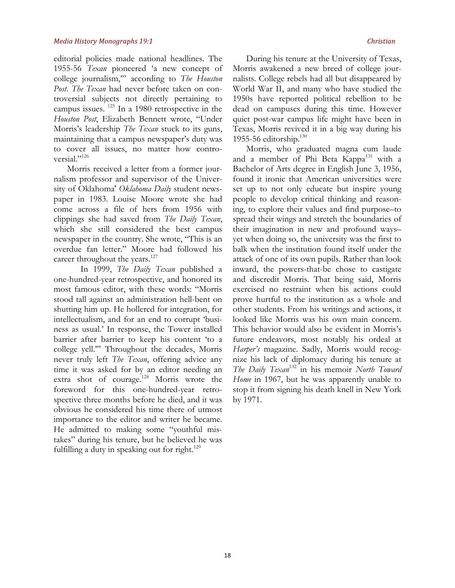editorial policies made national headlines. The 1955-56 *Texan* pioneered 'a new concept of college journalism,'" according to *The Houston Post*. *The Texan* had never before taken on controversial subjects not directly pertaining to campus issues. 125 In a 1980 retrospective in the *Houston Post*, Elizabeth Bennett wrote, "Under Morris's leadership *The Texan* stuck to its guns, maintaining that a campus newspaper's duty was to cover all issues, no matter how controversial."<sup>126</sup>

Morris received a letter from a former journalism professor and supervisor of the University of Oklahoma' *Oklahoma Daily* student newspaper in 1983. Louise Moore wrote she had come across a file of hers from 1956 with clippings she had saved from *The Daily Texan*, which she still considered the best campus newspaper in the country. She wrote, "This is an overdue fan letter." Moore had followed his career throughout the years.<sup>127</sup>

In 1999, *The Daily Texan* published a one-hundred-year retrospective, and honored its most famous editor, with these words: "Morris stood tall against an administration hell-bent on shutting him up. He hollered for integration, for intellectualism, and for an end to corrupt 'business as usual.' In response, the Tower installed barrier after barrier to keep his content 'to a college yell.'" Throughout the decades, Morris never truly left *The Texan*, offering advice any time it was asked for by an editor needing an extra shot of courage.<sup>128</sup> Morris wrote the foreword for this one-hundred-year retrospective three months before he died, and it was obvious he considered his time there of utmost importance to the editor and writer he became. He admitted to making some "youthful mistakes" during his tenure, but he believed he was fulfilling a duty in speaking out for right. $129$ 

During his tenure at the University of Texas, Morris awakened a new breed of college journalists. College rebels had all but disappeared by World War II, and many who have studied the 1950s have reported political rebellion to be dead on campuses during this time. However quiet post-war campus life might have been in Texas, Morris revived it in a big way during his 1955-56 editorship. $130$ 

Morris, who graduated magna cum laude and a member of Phi Beta Kappa<sup>131</sup> with a Bachelor of Arts degree in English June 3, 1956, found it ironic that American universities were set up to not only educate but inspire young people to develop critical thinking and reasoning, to explore their values and find purpose–to spread their wings and stretch the boundaries of their imagination in new and profound ways– yet when doing so, the university was the first to balk when the institution found itself under the attack of one of its own pupils. Rather than look inward, the powers-that-be chose to castigate and discredit Morris. That being said, Morris exercised no restraint when his actions could prove hurtful to the institution as a whole and other students. From his writings and actions, it looked like Morris was his own main concern. This behavior would also be evident in Morris's future endeavors, most notably his ordeal at *Harper's* magazine. Sadly, Morris would recognize his lack of diplomacy during his tenure at *The Daily Texan*<sup>132</sup> in his memoir *North Toward Home* in 1967, but he was apparently unable to stop it from signing his death knell in New York by 1971.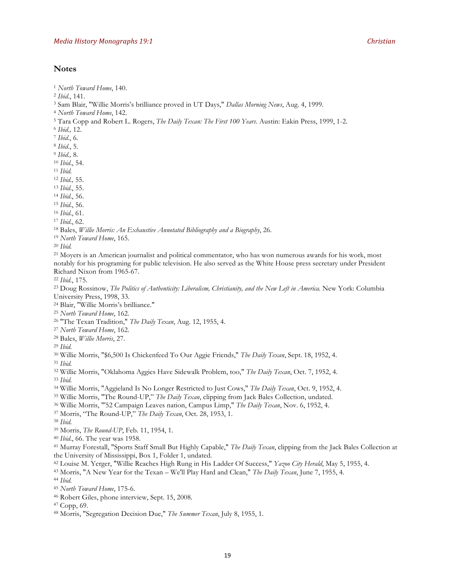## **Notes**

- *North Toward Home*, 140.
- *Ibid*., 141.
- Sam Blair, "Willie Morris's brilliance proved in UT Days," *Dallas Morning News*, Aug. 4, 1999.
- *North Toward Home*, 142.
- Tara Copp and Robert L. Rogers, *The Daily Texan: The First 100 Years*. Austin: Eakin Press, 1999, 1-2.
- *Ibid.,* 12.
- *Ibid*., 6.
- *Ibid*., 5.
- *Ibid.,* 8.
- *Ibid*., 54.
- *Ibid.*
- *Ibid.,* 55.
- *Ibid*., 55.
- *Ibid*., 56.
- *Ibid*., 56.
- *Ibid*., 61.
- *Ibid*., 62.
- Bales, *Willie Morris: An Exhaustive Annotated Bibliography and a Biography*, 26.
- *North Toward Home*, 165.
- *Ibid.*

<sup>21</sup> Moyers is an American journalist and political commentator, who has won numerous awards for his work, most notably for his programing for public television. He also served as the White House press secretary under President Richard Nixon from 1965-67.

*Ibid.*, 175.

 Doug Rossinow, *The Politics of Authenticity: Liberalism, Christianity, and the New Left in America.* New York: Columbia University Press, 1998, 33.

- Blair, "Willie Morris's brilliance."
- *North Toward Home*, 162.
- "The Texan Tradition," *The Daily Texan*, Aug. 12, 1955, 4. 27 *North Toward Home*, 162. 28 Bales, *Willie Morris*, 27.
- 
- 
- *Ibid.*

Willie Morris, "\$6,500 Is Chickenfeed To Our Aggie Friends," *The Daily Texan*, Sept. 18, 1952, 4.

- *Ibid.*
- Willie Morris, "Oklahoma Aggies Have Sidewalk Problem, too," *The Daily Texan*, Oct. 7, 1952, 4.
- *Ibid.*
- Willie Morris, "Aggieland Is No Longer Restricted to Just Cows," *The Daily Texan*, Oct. 9, 1952, 4.
- Willie Morris, "The Round-UP," *The Daily Texan*, clipping from Jack Bales Collection, undated. 36 Willie Morris, "'52 Campaign Leaves nation, Campus Limp," *The Daily Texan*, Nov. 6, 1952, 4.
- 
- Morris, "The Round-UP," *The Daily Texan*, Oct. 28, 1953, 1.
- *Ibid.*
- Morris, *The Round-UP*, Feb. 11, 1954, 1.
- *Ibid*., 66. The year was 1958.

 Murray Forestall, "Sports Staff Small But Highly Capable," *The Daily Texan*, clipping from the Jack Bales Collection at the University of Mississippi, Box 1, Folder 1, undated.

- Louise M. Yerger, "Willie Reaches High Rung in His Ladder Of Success," *Yazoo City Herald*, May 5, 1955, 4.
- Morris, "A New Year for the Texan We'll Play Hard and Clean," *The Daily Texan*, June 7, 1955, 4.

*Ibid.*

- *North Toward Home*, 175-6.
- Robert Giles, phone interview, Sept. 15, 2008.
- Copp, 69.
- Morris, "Segregation Decision Due," *The Summer Texan*, July 8, 1955, 1.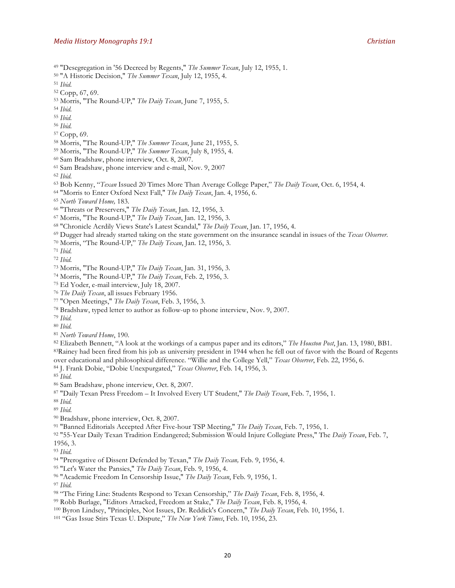- "Desegregation in '56 Decreed by Regents," *The Summer Texan*, July 12, 1955, 1.
- "A Historic Decision," *The Summer Texan*, July 12, 1955, 4.

*Ibid.*

- Copp, 67, 69.
- Morris, "The Round-UP," *The Daily Texan*, June 7, 1955, 5.
- *Ibid.*
- *Ibid.*
- *Ibid.*
- Copp, 69.
- Morris, "The Round-UP," *The Summer Texan*, June 21, 1955, 5.
- Morris, "The Round-UP," *The Summer Texan*, July 8, 1955, 4.
- Sam Bradshaw, phone interview, Oct. 8, 2007.
- Sam Bradshaw, phone interview and e-mail, Nov. 9, 2007
- *Ibid.*
- Bob Kenny, "*Texan* Issued 20 Times More Than Average College Paper," *The Daily Texan*, Oct. 6, 1954, 4.
- "Morris to Enter Oxford Next Fall," *The Daily Texan*, Jan. 4, 1956, 6.
- *North Toward Home,* 183.
- "Threats or Preservers," *The Daily Texan*, Jan. 12, 1956, 3.
- Morris, "The Round-UP," *The Daily Texan*, Jan. 12, 1956, 3.
- "Chronicle Acrdily Views State's Latest Scandal," *The Daily Texan*, Jan. 17, 1956, 4.
- Dugger had already started taking on the state government on the insurance scandal in issues of the *Texas Observer*.
- Morris, "The Round-UP," *The Daily Texan*, Jan. 12, 1956, 3.
- *Ibid.*
- *Ibid.*
- Morris, "The Round-UP," *The Daily Texan*, Jan. 31, 1956, 3.
- Morris, "The Round-UP," *The Daily Texan*, Feb. 2, 1956, 3.
- Ed Yoder, e-mail interview, July 18, 2007.
- *The Daily Texan*, all issues February 1956.
- "Open Meetings," *The Daily Texan*, Feb. 3, 1956, 3.
- Bradshaw, typed letter to author as follow-up to phone interview, Nov. 9, 2007.
- *Ibid.*
- *Ibid.*
- *North Toward Home*, 190.

 Elizabeth Bennett, "A look at the workings of a campus paper and its editors," *The Houston Post*, Jan. 13, 1980, BB1. 83Rainey had been fired from his job as university president in 1944 when he fell out of favor with the Board of Regents over educational and philosophical difference. "Willie and the College Yell," *Texas Observer*, Feb. 22, 1956, 6. J. Frank Dobie, "Dobie Unexpurgated," *Texas Observer*, Feb. 14, 1956, 3.

- *Ibid.*
- Sam Bradshaw, phone interview, Oct. 8, 2007.
- "Daily Texan Press Freedom It Involved Every UT Student," *The Daily Texan*, Feb. 7, 1956, 1.
- *Ibid.*
- *Ibid.*
- Bradshaw, phone interview, Oct. 8, 2007.
- "Banned Editorials Accepted After Five-hour TSP Meeting," *The Daily Texan*, Feb. 7, 1956, 1.
- "55-Year Daily Texan Tradition Endangered; Submission Would Injure Collegiate Press," The *Daily Texan*, Feb. 7, 1956, 3.
- *Ibid.*
- "Prerogative of Dissent Defended by Texan," *The Daily Texan,* Feb. 9, 1956, 4.
- "Let's Water the Pansies," *The Daily Texan*, Feb. 9, 1956, 4.
- "Academic Freedom In Censorship Issue," *The Daily Texan*, Feb. 9, 1956, 1.
- *Ibid.*
- "The Firing Line: Students Respond to Texan Censorship," *The Daily Texan*, Feb. 8, 1956, 4.
- Robb Burlage, "Editors Attacked, Freedom at Stake," *The Daily Texan*, Feb. 8, 1956, 4.
- Byron Lindsey, "Principles, Not Issues, Dr. Reddick's Concern," *The Daily Texan*, Feb. 10, 1956, 1.
- "Gas Issue Stirs Texas U. Dispute," *The New York Times*, Feb. 10, 1956, 23.